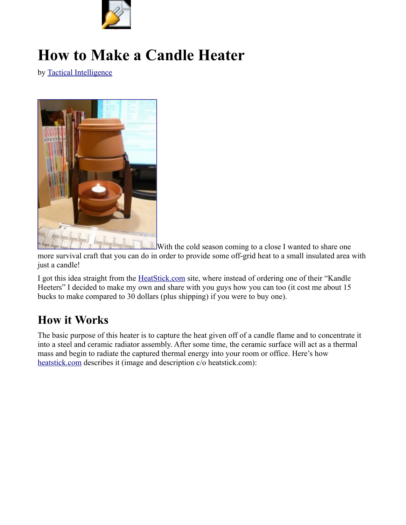

# **How to Make a Candle Heater**

by [Tactical Intelligence](http://www.tacticalintelligence.net/about)



[W](http://www.tacticalintelligence.net/wp-content/uploads/2010/04/2958445611_3e669f0799.jpg)ith the cold season coming to a close I wanted to share one

more survival craft that you can do in order to provide some off-grid heat to a small insulated area with just a candle!

I got this idea straight from the [HeatStick.com](http://www.heatstick.com/_KanHeet01.htm) site, where instead of ordering one of their "Kandle Heeters" I decided to make my own and share with you guys how you can too (it cost me about 15 bucks to make compared to 30 dollars (plus shipping) if you were to buy one).

## **How it Works**

The basic purpose of this heater is to capture the heat given off of a candle flame and to concentrate it into a steel and ceramic radiator assembly. After some time, the ceramic surface will act as a thermal mass and begin to radiate the captured thermal energy into your room or office. Here's how [heatstick.com](http://www.heatstick.com/) describes it (image and description c/o heatstick.com):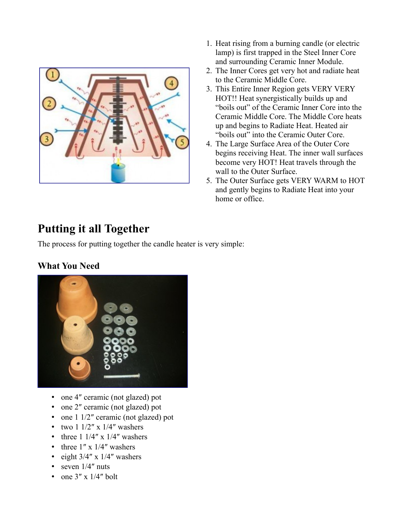

- 1. Heat rising from a burning candle (or electric lamp) is first trapped in the Steel Inner Core and surrounding Ceramic Inner Module.
- 2. The Inner Cores get very hot and radiate heat to the Ceramic Middle Core.
- 3. This Entire Inner Region gets VERY VERY HOT!! Heat synergistically builds up and "boils out" of the Ceramic Inner Core into the Ceramic Middle Core. The Middle Core heats up and begins to Radiate Heat. Heated air "boils out" into the Ceramic Outer Core.
- 4. The Large Surface Area of the Outer Core begins receiving Heat. The inner wall surfaces become very HOT! Heat travels through the wall to the Outer Surface.
- 5. The Outer Surface gets VERY WARM to HOT and gently begins to Radiate Heat into your home or office.

# **Putting it all Together**

The process for putting together the candle heater is very simple:

#### **What You Need**



- one 4" ceramic (not glazed) pot
- one 2" ceramic (not glazed) pot
- one 1 1/2" ceramic (not glazed) pot
- two  $1 \frac{1}{2}$ " x  $\frac{1}{4}$ " washers
- three  $1 \frac{1}{4}$ " x  $\frac{1}{4}$ " washers
- three  $1'' \times 1/4''$  washers
- eight  $3/4''$  x  $1/4''$  washers
- seven  $1/4$ " nuts
- one  $3'' \times 1/4''$  bolt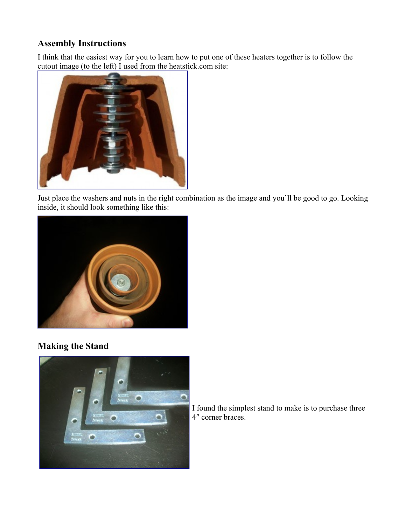#### **Assembly Instructions**

I think that the easiest way for you to learn how to put one of these heaters together is to follow the [cutout image \(to the left\) I used from the heatsti](http://www.tacticalintelligence.net/wp-content/uploads/2010/04/cutout2.jpg)ck.com site:



Just place the washers and nuts in the right combination as the image and you'll be good to go. Looking inside, it should look something like this:



#### **Making the Stand**



I found the simplest stand to make is to purchase three 4″ corner braces.